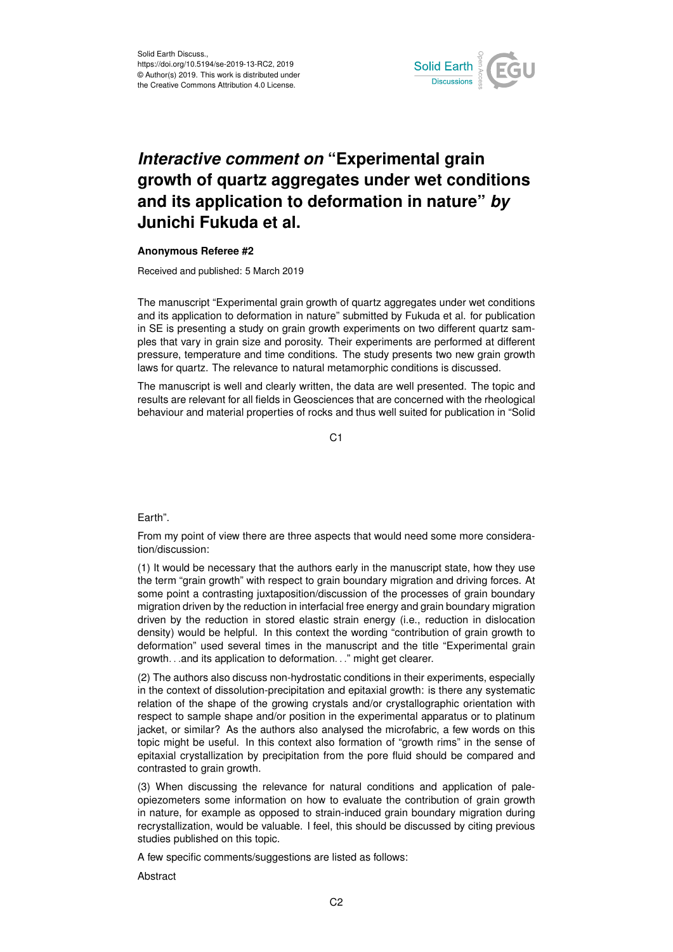

## *Interactive comment on* **"Experimental grain growth of quartz aggregates under wet conditions and its application to deformation in nature"** *by* **Junichi Fukuda et al.**

## **Anonymous Referee #2**

Received and published: 5 March 2019

The manuscript "Experimental grain growth of quartz aggregates under wet conditions and its application to deformation in nature" submitted by Fukuda et al. for publication in SE is presenting a study on grain growth experiments on two different quartz samples that vary in grain size and porosity. Their experiments are performed at different pressure, temperature and time conditions. The study presents two new grain growth laws for quartz. The relevance to natural metamorphic conditions is discussed.

The manuscript is well and clearly written, the data are well presented. The topic and results are relevant for all fields in Geosciences that are concerned with the rheological behaviour and material properties of rocks and thus well suited for publication in "Solid

C1

## Earth".

From my point of view there are three aspects that would need some more consideration/discussion:

(1) It would be necessary that the authors early in the manuscript state, how they use the term "grain growth" with respect to grain boundary migration and driving forces. At some point a contrasting juxtaposition/discussion of the processes of grain boundary migration driven by the reduction in interfacial free energy and grain boundary migration driven by the reduction in stored elastic strain energy (i.e., reduction in dislocation density) would be helpful. In this context the wording "contribution of grain growth to deformation" used several times in the manuscript and the title "Experimental grain growth. . .and its application to deformation. . ." might get clearer.

(2) The authors also discuss non-hydrostatic conditions in their experiments, especially in the context of dissolution-precipitation and epitaxial growth: is there any systematic relation of the shape of the growing crystals and/or crystallographic orientation with respect to sample shape and/or position in the experimental apparatus or to platinum jacket, or similar? As the authors also analysed the microfabric, a few words on this topic might be useful. In this context also formation of "growth rims" in the sense of epitaxial crystallization by precipitation from the pore fluid should be compared and contrasted to grain growth.

(3) When discussing the relevance for natural conditions and application of paleopiezometers some information on how to evaluate the contribution of grain growth in nature, for example as opposed to strain-induced grain boundary migration during recrystallization, would be valuable. I feel, this should be discussed by citing previous studies published on this topic.

A few specific comments/suggestions are listed as follows:

Abstract